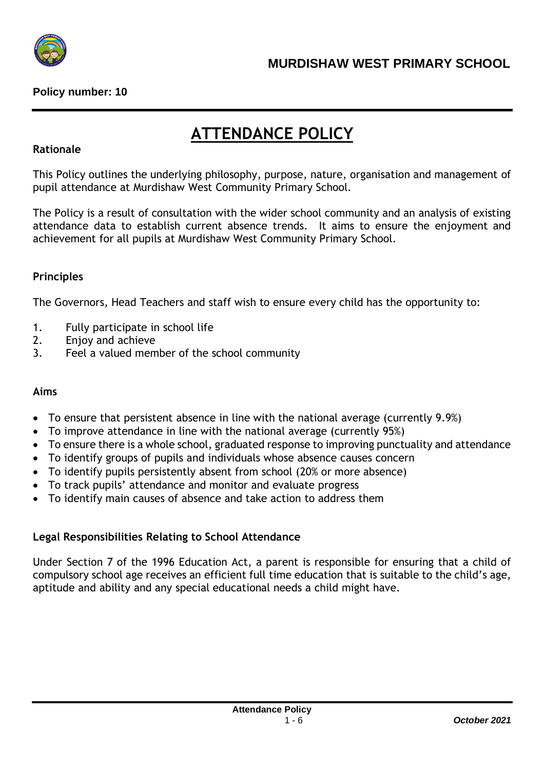

# **ATTENDANCE POLICY**

## **Rationale**

This Policy outlines the underlying philosophy, purpose, nature, organisation and management of pupil attendance at Murdishaw West Community Primary School.

The Policy is a result of consultation with the wider school community and an analysis of existing attendance data to establish current absence trends. It aims to ensure the enjoyment and achievement for all pupils at Murdishaw West Community Primary School.

## **Principles**

The Governors, Head Teachers and staff wish to ensure every child has the opportunity to:

- 1. Fully participate in school life
- 2. Enjoy and achieve
- 3. Feel a valued member of the school community

## **Aims**

- To ensure that persistent absence in line with the national average (currently 9.9%)
- To improve attendance in line with the national average (currently 95%)
- To ensure there is a whole school, graduated response to improving punctuality and attendance
- To identify groups of pupils and individuals whose absence causes concern
- To identify pupils persistently absent from school (20% or more absence)
- To track pupils' attendance and monitor and evaluate progress
- To identify main causes of absence and take action to address them

## **Legal Responsibilities Relating to School Attendance**

Under Section 7 of the 1996 Education Act, a parent is responsible for ensuring that a child of compulsory school age receives an efficient full time education that is suitable to the child's age, aptitude and ability and any special educational needs a child might have.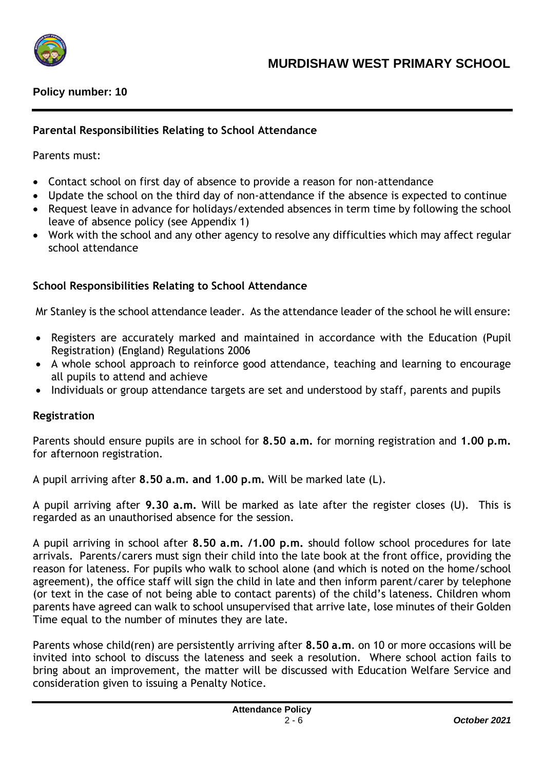

## **Parental Responsibilities Relating to School Attendance**

Parents must:

- Contact school on first day of absence to provide a reason for non-attendance
- Update the school on the third day of non-attendance if the absence is expected to continue
- Request leave in advance for holidays/extended absences in term time by following the school leave of absence policy (see Appendix 1)
- Work with the school and any other agency to resolve any difficulties which may affect regular school attendance

## **School Responsibilities Relating to School Attendance**

Mr Stanley is the school attendance leader. As the attendance leader of the school he will ensure:

- Registers are accurately marked and maintained in accordance with the Education (Pupil Registration) (England) Regulations 2006
- A whole school approach to reinforce good attendance, teaching and learning to encourage all pupils to attend and achieve
- Individuals or group attendance targets are set and understood by staff, parents and pupils

## **Registration**

Parents should ensure pupils are in school for **8.50 a.m.** for morning registration and **1.00 p.m.** for afternoon registration.

A pupil arriving after **8.50 a.m. and 1.00 p.m.** Will be marked late (L).

A pupil arriving after **9.30 a.m.** Will be marked as late after the register closes (U). This is regarded as an unauthorised absence for the session.

A pupil arriving in school after **8.50 a.m. /1.00 p.m.** should follow school procedures for late arrivals. Parents/carers must sign their child into the late book at the front office, providing the reason for lateness. For pupils who walk to school alone (and which is noted on the home/school agreement), the office staff will sign the child in late and then inform parent/carer by telephone (or text in the case of not being able to contact parents) of the child's lateness. Children whom parents have agreed can walk to school unsupervised that arrive late, lose minutes of their Golden Time equal to the number of minutes they are late.

Parents whose child(ren) are persistently arriving after **8.50 a.m**. on 10 or more occasions will be invited into school to discuss the lateness and seek a resolution. Where school action fails to bring about an improvement, the matter will be discussed with Education Welfare Service and consideration given to issuing a Penalty Notice.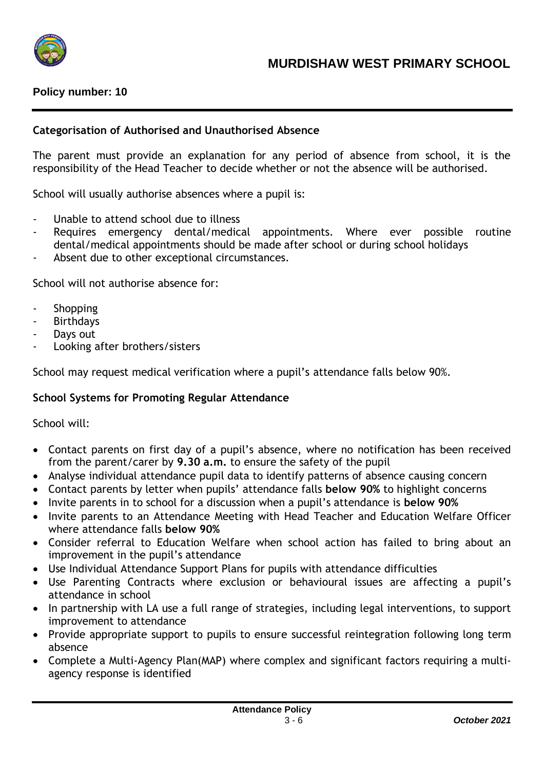

#### **Categorisation of Authorised and Unauthorised Absence**

The parent must provide an explanation for any period of absence from school, it is the responsibility of the Head Teacher to decide whether or not the absence will be authorised.

School will usually authorise absences where a pupil is:

- Unable to attend school due to illness
- Requires emergency dental/medical appointments. Where ever possible routine dental/medical appointments should be made after school or during school holidays
- Absent due to other exceptional circumstances.

School will not authorise absence for:

- **Shopping**
- **Birthdays**
- Days out
- Looking after brothers/sisters

School may request medical verification where a pupil's attendance falls below 90%.

## **School Systems for Promoting Regular Attendance**

School will:

- Contact parents on first day of a pupil's absence, where no notification has been received from the parent/carer by **9.30 a.m.** to ensure the safety of the pupil
- Analyse individual attendance pupil data to identify patterns of absence causing concern
- Contact parents by letter when pupils' attendance falls **below 90%** to highlight concerns
- Invite parents in to school for a discussion when a pupil's attendance is **below 90%**
- Invite parents to an Attendance Meeting with Head Teacher and Education Welfare Officer where attendance falls **below 90%**
- Consider referral to Education Welfare when school action has failed to bring about an improvement in the pupil's attendance
- Use Individual Attendance Support Plans for pupils with attendance difficulties
- Use Parenting Contracts where exclusion or behavioural issues are affecting a pupil's attendance in school
- In partnership with LA use a full range of strategies, including legal interventions, to support improvement to attendance
- Provide appropriate support to pupils to ensure successful reintegration following long term absence
- Complete a Multi-Agency Plan(MAP) where complex and significant factors requiring a multiagency response is identified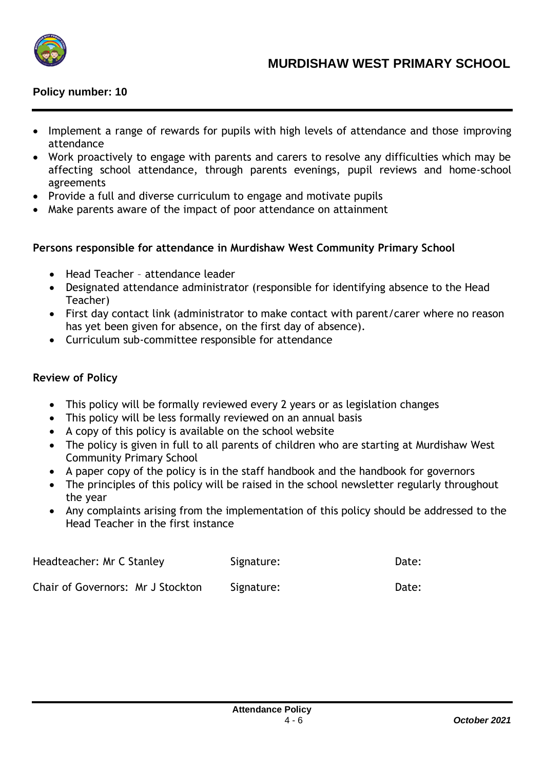

- Implement a range of rewards for pupils with high levels of attendance and those improving attendance
- Work proactively to engage with parents and carers to resolve any difficulties which may be affecting school attendance, through parents evenings, pupil reviews and home-school agreements
- Provide a full and diverse curriculum to engage and motivate pupils
- Make parents aware of the impact of poor attendance on attainment

## **Persons responsible for attendance in Murdishaw West Community Primary School**

- Head Teacher attendance leader
- Designated attendance administrator (responsible for identifying absence to the Head Teacher)
- First day contact link (administrator to make contact with parent/carer where no reason has yet been given for absence, on the first day of absence).
- Curriculum sub-committee responsible for attendance

#### **Review of Policy**

- This policy will be formally reviewed every 2 years or as legislation changes
- This policy will be less formally reviewed on an annual basis
- A copy of this policy is available on the school website
- The policy is given in full to all parents of children who are starting at Murdishaw West Community Primary School
- A paper copy of the policy is in the staff handbook and the handbook for governors
- The principles of this policy will be raised in the school newsletter regularly throughout the year
- Any complaints arising from the implementation of this policy should be addressed to the Head Teacher in the first instance

| Headteacher: Mr C Stanley         | Signature: | Date: |
|-----------------------------------|------------|-------|
| Chair of Governors: Mr J Stockton | Signature: | Date: |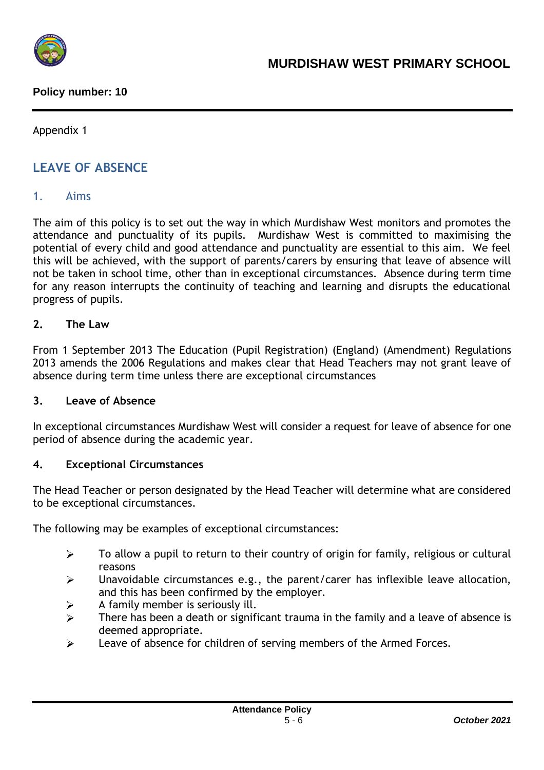

Appendix 1

## **LEAVE OF ABSENCE**

## 1. Aims

The aim of this policy is to set out the way in which Murdishaw West monitors and promotes the attendance and punctuality of its pupils. Murdishaw West is committed to maximising the potential of every child and good attendance and punctuality are essential to this aim. We feel this will be achieved, with the support of parents/carers by ensuring that leave of absence will not be taken in school time, other than in exceptional circumstances. Absence during term time for any reason interrupts the continuity of teaching and learning and disrupts the educational progress of pupils.

## **2. The Law**

From 1 September 2013 The Education (Pupil Registration) (England) (Amendment) Regulations 2013 amends the 2006 Regulations and makes clear that Head Teachers may not grant leave of absence during term time unless there are exceptional circumstances

#### **3. Leave of Absence**

In exceptional circumstances Murdishaw West will consider a request for leave of absence for one period of absence during the academic year.

## **4. Exceptional Circumstances**

The Head Teacher or person designated by the Head Teacher will determine what are considered to be exceptional circumstances.

The following may be examples of exceptional circumstances:

- $\blacktriangleright$ To allow a pupil to return to their country of origin for family, religious or cultural reasons
- $\blacktriangleright$ Unavoidable circumstances e.g., the parent/carer has inflexible leave allocation, and this has been confirmed by the employer.
- $\blacktriangleright$ A family member is seriously ill.
- $\blacktriangleright$ There has been a death or significant trauma in the family and a leave of absence is deemed appropriate.
- $\blacktriangleright$ Leave of absence for children of serving members of the Armed Forces.